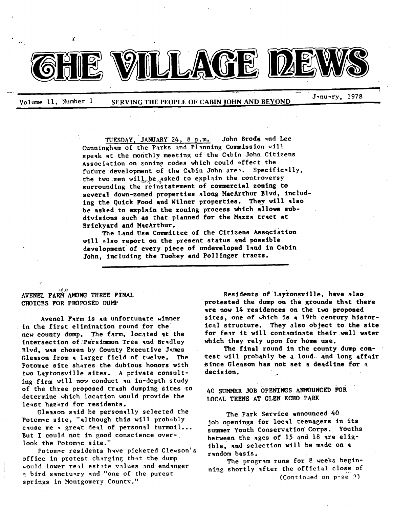

Volume 11, Number 1 SERVING THE PEOPLE OF CABIN JOHN AND BEYOND

J~nu~ry, 1978

TUESDAY, JANUARY 24, 8 p.m. John Broda and Lee Cunningham of the Parks and Planning Commission  $~v111$ speak at the monthly meeting of the Cabin John Citizens Association on zoning codes which could affect the future development of the Cabin John area. Specifically, the two men will be asked to explain the controversy surrounding the reinstatement of commercial zoning to several down-zoned properties along MacArthur Blvd, including the Quick Food and Wtlner properties. They will also be asked to explain the zoning process which allows subdivisions such as that planned for the Mazza tract at Brickyard and MacArthur.

The Land Use Committee of the Citizens Association will also report on the present status and possible development of every piece of undeveloped land in Cabin John, *including* the Tuohey and Polllnger tracts.

 $\mathcal{L} \subset \mathbb{R}^n$ AVENEL FARM AMONG THREE FINAL CROICES FOR PROPOSED DUMP

T

Avenel Farm is an unfortunate winner In the first elimination round for the new county dump. The farm, located at the intersection of'Persimmon Tree and Bradley Blvd, was chosen by County Executive James Gleason from a larger field of twelve. The Potomac site shares the dubious honors with two Laytonsville sites. A private consulting firm will now conduct an In-depth study of the three proposed trash dumping Sites to determine which location would provide the least hazard for residents.

Gleason said he personally selected the Potomac slte, "although this will probably cause me  $\rightarrow$  great deal of personal turmoil... But I could not in good conscience overlook the Potomac site."

Potomac residents have picketed Gle=son's office in protest charging that the dump would lower real estate values and endanger a bird sanctuary and "one of the purest springs in Montgomery County."

Residents of Laytonsville, have also protested the dump on the grounds that there are now 14 residences on the two proposed sites, one of which is a 19th century hlstorical structure. They also object to the site for fear it will contaminate their well water which they rely upon for home use.

The final round in the county dump con test will probably be a loud and long affair ~Ince Gleason has not set a deadllne for **<sup>q</sup>** decision.

40 SUMMER JOB OPENINGS ANNOUNCED FOR LOCAL TEENS AT GLEN ECHO PARK

The Park Service announced 40 job openings for local teenagers in Its summer Youth Conservation Corps. Youths between the ages of 15 and 18 are elig-Ible, and selection wlll be made on a random basis.

The program runs for 8 weeks beginning shortly after the official close of (Continued on p~e3)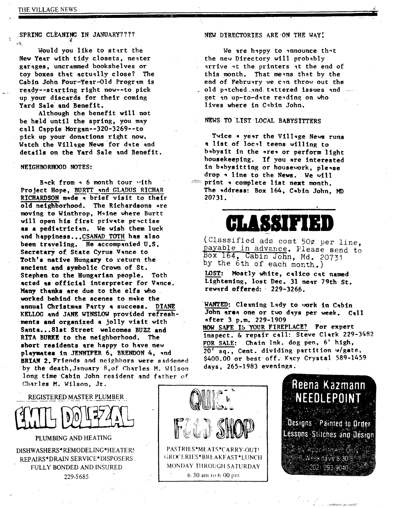### SPRING CLEANING IN JANUARY????

Would you like to start the New Year with tidy closets, neater garages, uncrammed bookshelves or toy boxes that actually close? The Cabin John Four-Year-Old Program is ready--starting right now--to pick up your discards for their coming Yard Sale and Benefit.

Although the benefit will not be held until the spring, you may call Cappie Morgan--320-3269--to pick up your donations right now. Watch the Village News for date and details on the Yard Sale and Benefit.

### **NEIGHBORHOOD NOTES:**

Back from  $\sim$  6 month tour with Project Hope, BURTT and GLADUS RICHAR RICHARDSON m\*de \* brief visit to their old neighborhood. The Richardsons are moving to Winthrop, Maine where Burtt will open his first private practise as a pediatrician. We wish them luck and happlness...CSANAD TOTH has also been traveling. He accompanied U.S. Secretary of State Cyrus Vance to Toth's native Hungary to return the ancient and symbolic Crown of St. **Stephen to the Hungarian people. Toth acted as official interpreter for Vance.**  Many thanks are due to the elfs who worked behind the scenes to make the annual Christmas Party a success. DIANE **KELLOG and JANE** WINSLON provided refreshments **and organized a Jolly visit with**  Ssnta...81st Street welcomes BUZZ and RITA BURKE to the neighborhood. The short residents are happy to have new playmates in JENNIFER 6, BRENDON 4, and BRIAN 2. Friends and neighbors were saddened. by the death, January 8, of Charles M. Wilson long time Cabin John resident and father of Charles M. Wilson, Jr.

NEW DIRECTORIES ARE ON THE WAY!

We are happy to announce that the new Directory will probably arrive at the printers at the end of this month. That means that by the end of February we can throw out the  $\Box$  old patched $\Box$ and, tattered issues and  $\Box$ get an up-to-date reading on who lives where in Cabin John.

### NEWS TO LIST LOCAL BABYSITTERS

i

**Twice • ye,r the Village News runs a list of local teens willing to b~bysit in the ~re~ or perform light housekeeping. If you are interested in b~byslttlng or house~ork, please**  drop  $\cdot$  line to the News. We will **:~= print • complete list next month.**  The *\*ddress: Box 164*, Cabin John, MD **20731.** 

## **GLASSIFIED**

(Classified ads ~ cost 50¢ *per* line, payable in advance. Please send to BOx 164, Cabin John, Md. 20731 by the 6th of each month.)

LOST: Mostly white, calico cat named Lightening, lost Dec. 31 near 79th **St.**  reward offered: 229-3266.

WANTED: Cleaning Lady to work in Cabin John area one or two days per week. Call **after 3 p.m. 229-1909**  HOW SAFE IS YOUR FIREPLACE? For expert inspect.  $\&$  repair call: Steve Clark 229-3482 FOR SALE: Chain lnk. dog pen, 6' high, 20' sq., Cent. dividing partition w/gate, \$400.00 or best off. Kacy Crystal 589-1459 days, 265-1983 evenings;



REGISTERED MASTER PLUMBER



PLUMBING AND HEAT1NG

DISHWASHERS\*REMODELING\*HEATERS REPAIRS\*DRAIN SERVICE\*DISPOSERS, FULLY BONDED AND INSURED 229-5685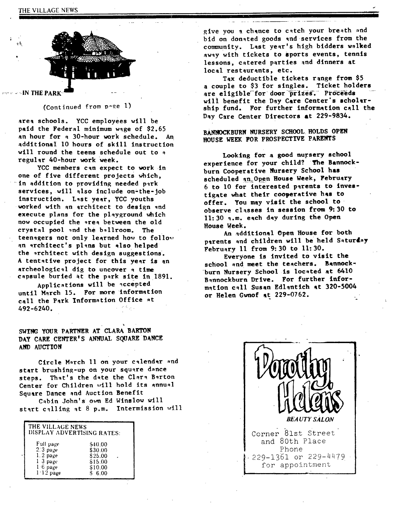

 $\sim$   $\sim$  IN THE PARK

(Continued from  $p$ -ge 1)

area schools. YCC employees will be paid the Federal minimum wage of \$2.65 an hour for a 30-hour work schedule. An additional I0 hours of skill instruction will round the teens schedule out to a regular 40-hour work Week.

YCC members can expect to work in one of five different projects which, in addition to providing needed park services, will also include on-the-job instruction. L~st year, YCC youths worked with an architect to design and execute plans for the playground which now occupied the area between the old crystal pool and the ballroom. The teenagers not only learned how to follow an architect's plans but also helped the architect with design suggestions. A tentative project for this year is an archeological dig to uncover a time capsule buried at the park site in 1891.

Applications will be accepted untll March 15. For more information call the Park Information Office at 492-6240.

SWING YOUR PARTNER AT CLARA BARTON DAY CARE CENTER'S ANNUAL SQUARE DANCE AND AUCTION

Circle March 11 on your calendar and start brushing-up on your square dance steps. That's the date the Clara Barton Center for Children will hold its annual Square Dance and Auction Benefit

Cabin John's own Ed Winslow will start calling at 8 p.m. Intermission will

| THE VILLAGE NEWS<br>DISPLAY ADVERTISING RATES: |         |
|------------------------------------------------|---------|
| Full page                                      | \$40.00 |
| $2.3$ page                                     | \$30.00 |
| $1.2$ page                                     | \$25.00 |
| 1 3 page                                       | \$15.00 |
| $1.6$ page                                     | \$10.00 |
| $1.12$ page                                    | \$6.00  |

give you a chance to catch your breath and bid on donated goods and services from the community. Last year's high bidders walked away with tickets to sports events, tennis lessons, catered parties and dinners at local restaurants, etc.

d

**I** 

Tax deductible tickets range from \$5 a couple to \$3 for singles. Ticket holders are eligible for door prizes. Proceeds will benefit the Day Care Center's scholarship fund. For further information call the Day Care Center Directors at 229-9834.

BANNOCKBURN NURSERY SCHOOL HOLDS OPEN **ROUSE WEEK FOR PROSPECTIVE PARENTS** 

**Looking for a good nursery school experience for your child? The Bannockburn Cooperative Nursery School has scheduled ~n:Open Rouse Week, February**  6 to 10 for interested parents to inves**tigate what their cooperative has to**  offer. You may visit the school to **observe classes in session from 9:30 to 11:30 q.m. eqch day during the Open Rouse Week.** 

**An addftlonal Open Rouse for both**  parents and children will be held Saturday **February 11 from 9:30 to I1:30.** 

Everyone is invited to visit the **school ~nd meet the teachers. Bannock**burn Nursery School is located at 6410 **Bannockburn Drive. For further information c~11 Susan Edl~ntlch at 320-5004 or Helen Gwnof at 229-0762.**